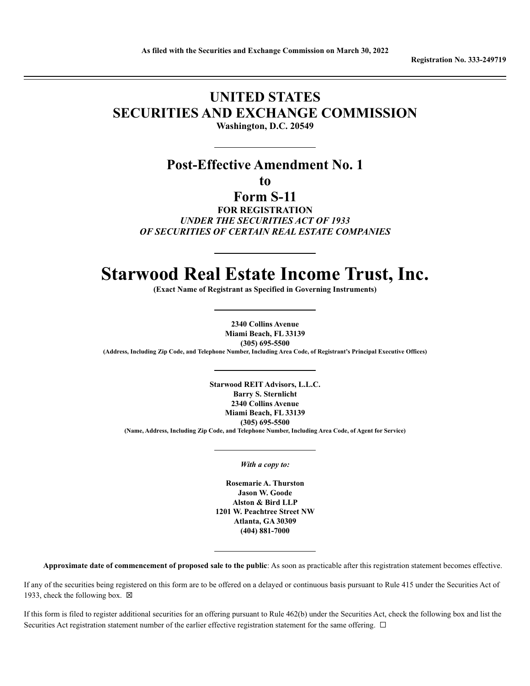**Registration No. 333-249719**

# **UNITED STATES SECURITIES AND EXCHANGE COMMISSION**

**Washington, D.C. 20549**

# **Post-Effective Amendment No. 1**

**to**

**Form S-11**

**FOR REGISTRATION** *UNDER THE SECURITIES ACT OF 1933 OF SECURITIES OF CERTAIN REAL ESTATE COMPANIES*

# **Starwood Real Estate Income Trust, Inc.**

**(Exact Name of Registrant as Specified in Governing Instruments)**

**2340 Collins Avenue Miami Beach, FL 33139 (305) 695-5500 (Address, Including Zip Code, and Telephone Number, Including Area Code, of Registrant's Principal Executive Offices)**

**Starwood REIT Advisors, L.L.C. Barry S. Sternlicht 2340 Collins Avenue Miami Beach, FL 33139 (305) 695-5500 (Name, Address, Including Zip Code, and Telephone Number, Including Area Code, of Agent for Service)**

*With a copy to:*

**Rosemarie A. Thurston Jason W. Goode Alston & Bird LLP 1201 W. Peachtree Street NW Atlanta, GA 30309 (404) 881-7000**

**Approximate date of commencement of proposed sale to the public**: As soon as practicable after this registration statement becomes effective.

If any of the securities being registered on this form are to be offered on a delayed or continuous basis pursuant to Rule 415 under the Securities Act of 1933, check the following box.  $\boxtimes$ 

If this form is filed to register additional securities for an offering pursuant to Rule 462(b) under the Securities Act, check the following box and list the Securities Act registration statement number of the earlier effective registration statement for the same offering. □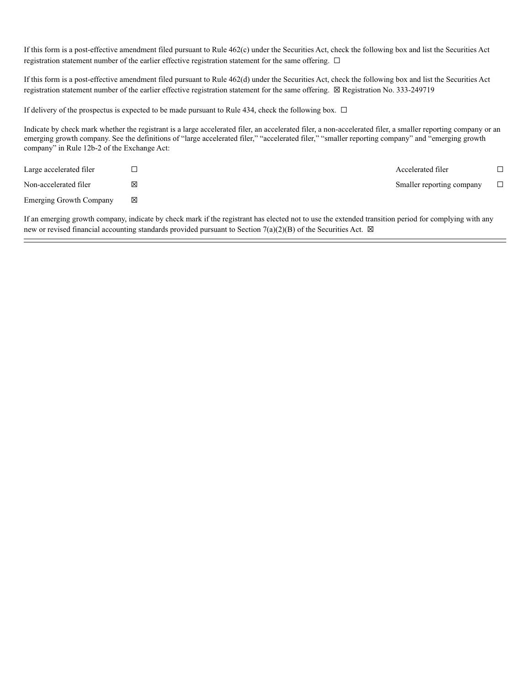If this form is a post-effective amendment filed pursuant to Rule 462(c) under the Securities Act, check the following box and list the Securities Act registration statement number of the earlier effective registration statement for the same offering. □

If this form is a post-effective amendment filed pursuant to Rule 462(d) under the Securities Act, check the following box and list the Securities Act registration statement number of the earlier effective registration statement for the same offering. ☒ Registration No. 333-249719

If delivery of the prospectus is expected to be made pursuant to Rule 434, check the following box.  $\Box$ 

Indicate by check mark whether the registrant is a large accelerated filer, an accelerated filer, a non-accelerated filer, a smaller reporting company or an emerging growth company. See the definitions of "large accelerated filer," "accelerated filer," "smaller reporting company" and "emerging growth company" in Rule 12b-2 of the Exchange Act:

| Large accelerated filer        |   | Accelerated filer         |        |
|--------------------------------|---|---------------------------|--------|
| Non-accelerated filer          |   | Smaller reporting company | $\Box$ |
| <b>Emerging Growth Company</b> | X |                           |        |

If an emerging growth company, indicate by check mark if the registrant has elected not to use the extended transition period for complying with any new or revised financial accounting standards provided pursuant to Section 7(a)(2)(B) of the Securities Act.  $\boxtimes$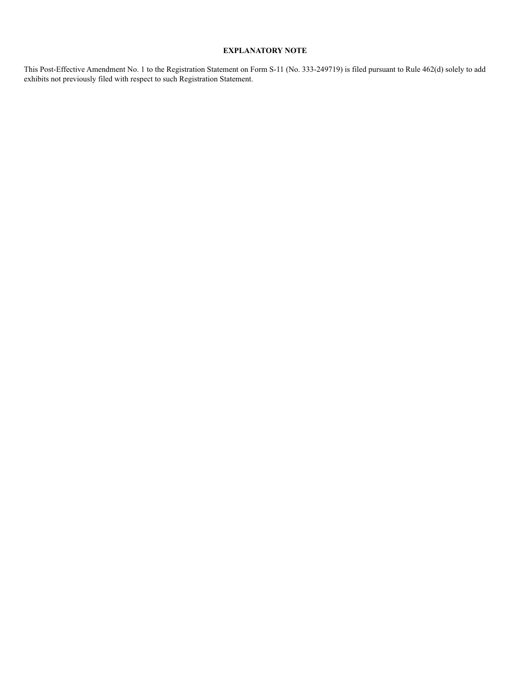### **EXPLANATORY NOTE**

This Post-Effective Amendment No. 1 to the Registration Statement on Form S-11 (No. 333-249719) is filed pursuant to Rule 462(d) solely to add exhibits not previously filed with respect to such Registration Statement.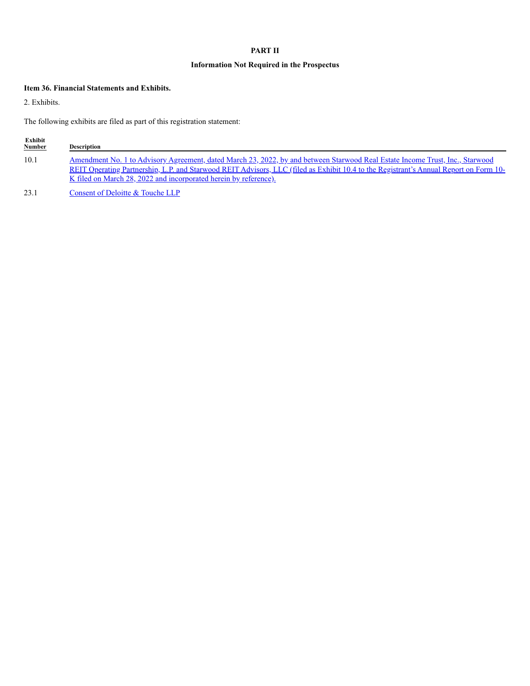# **PART II**

# **Information Not Required in the Prospectus**

# **Item 36. Financial Statements and Exhibits.**

2. Exhibits.

The following exhibits are filed as part of this registration statement:

| Exhibit<br><b>Number</b> | <b>Description</b>                                                                                                                                                                                                                                                                                                                                |
|--------------------------|---------------------------------------------------------------------------------------------------------------------------------------------------------------------------------------------------------------------------------------------------------------------------------------------------------------------------------------------------|
| 10.1                     | Amendment No. 1 to Advisory Agreement, dated March 23, 2022, by and between Starwood Real Estate Income Trust, Inc., Starwood<br>REIT Operating Partnership, L.P. and Starwood REIT Advisors, LLC (filed as Exhibit 10.4 to the Registrant's Annual Report on Form 10-<br><u>K filed on March 28, 2022 and incorporated herein by reference).</u> |
|                          |                                                                                                                                                                                                                                                                                                                                                   |

23.1 Consent of Deloitte & Touche LLP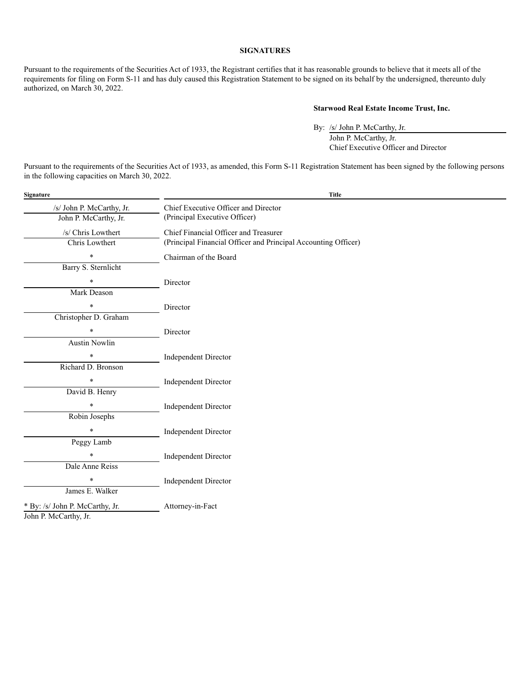#### **SIGNATURES**

Pursuant to the requirements of the Securities Act of 1933, the Registrant certifies that it has reasonable grounds to believe that it meets all of the requirements for filing on Form S-11 and has duly caused this Registration Statement to be signed on its behalf by the undersigned, thereunto duly authorized, on March 30, 2022.

## **Starwood Real Estate Income Trust, Inc.**

By: /s/ John P. McCarthy, Jr. John P. McCarthy, Jr. Chief Executive Officer and Director

Pursuant to the requirements of the Securities Act of 1933, as amended, this Form S-11 Registration Statement has been signed by the following persons in the following capacities on March 30, 2022.

| Signature                       | <b>Title</b>                                                   |  |
|---------------------------------|----------------------------------------------------------------|--|
| /s/ John P. McCarthy, Jr.       | Chief Executive Officer and Director                           |  |
| John P. McCarthy, Jr.           | (Principal Executive Officer)                                  |  |
| /s/ Chris Lowthert              | Chief Financial Officer and Treasurer                          |  |
| Chris Lowthert                  | (Principal Financial Officer and Principal Accounting Officer) |  |
| $\ast$                          | Chairman of the Board                                          |  |
| Barry S. Sternlicht             |                                                                |  |
| $\ast$                          | Director                                                       |  |
| <b>Mark Deason</b>              |                                                                |  |
| $\ast$                          | Director                                                       |  |
| Christopher D. Graham           |                                                                |  |
| $\ast$                          | Director                                                       |  |
| <b>Austin Nowlin</b>            |                                                                |  |
| $\star$                         | <b>Independent Director</b>                                    |  |
| Richard D. Bronson              |                                                                |  |
| $\ast$                          | <b>Independent Director</b>                                    |  |
| David B. Henry                  |                                                                |  |
| $\star$                         | <b>Independent Director</b>                                    |  |
| Robin Josephs                   |                                                                |  |
| $\star$                         | <b>Independent Director</b>                                    |  |
| Peggy Lamb                      |                                                                |  |
| $\ast$                          | <b>Independent Director</b>                                    |  |
| Dale Anne Reiss                 |                                                                |  |
| $\ast$                          | <b>Independent Director</b>                                    |  |
| James E. Walker                 |                                                                |  |
| * By: /s/ John P. McCarthy, Jr. | Attorney-in-Fact                                               |  |
| John P. McCarthy, Jr.           |                                                                |  |